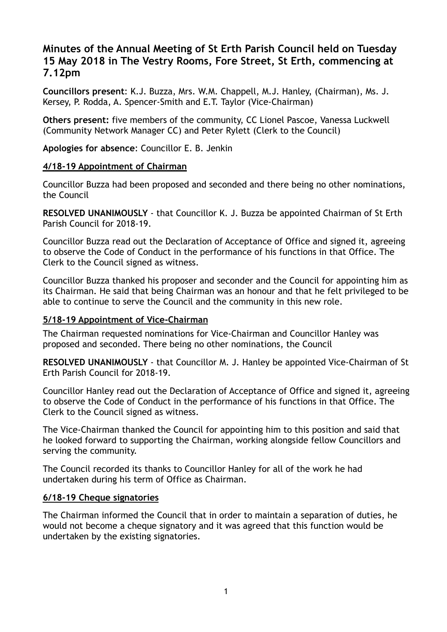# **Minutes of the Annual Meeting of St Erth Parish Council held on Tuesday 15 May 2018 in The Vestry Rooms, Fore Street, St Erth, commencing at 7.12pm**

**Councillors present**: K.J. Buzza, Mrs. W.M. Chappell, M.J. Hanley, (Chairman), Ms. J. Kersey, P. Rodda, A. Spencer-Smith and E.T. Taylor (Vice-Chairman)

**Others present:** five members of the community, CC Lionel Pascoe, Vanessa Luckwell (Community Network Manager CC) and Peter Rylett (Clerk to the Council)

**Apologies for absence**: Councillor E. B. Jenkin

#### **4/18-19 Appointment of Chairman**

Councillor Buzza had been proposed and seconded and there being no other nominations, the Council

**RESOLVED UNANIMOUSLY** - that Councillor K. J. Buzza be appointed Chairman of St Erth Parish Council for 2018-19.

Councillor Buzza read out the Declaration of Acceptance of Office and signed it, agreeing to observe the Code of Conduct in the performance of his functions in that Office. The Clerk to the Council signed as witness.

Councillor Buzza thanked his proposer and seconder and the Council for appointing him as its Chairman. He said that being Chairman was an honour and that he felt privileged to be able to continue to serve the Council and the community in this new role.

### **5/18-19 Appointment of Vice-Chairman**

The Chairman requested nominations for Vice-Chairman and Councillor Hanley was proposed and seconded. There being no other nominations, the Council

**RESOLVED UNANIMOUSLY** - that Councillor M. J. Hanley be appointed Vice-Chairman of St Erth Parish Council for 2018-19.

Councillor Hanley read out the Declaration of Acceptance of Office and signed it, agreeing to observe the Code of Conduct in the performance of his functions in that Office. The Clerk to the Council signed as witness.

The Vice-Chairman thanked the Council for appointing him to this position and said that he looked forward to supporting the Chairman, working alongside fellow Councillors and serving the community.

The Council recorded its thanks to Councillor Hanley for all of the work he had undertaken during his term of Office as Chairman.

### **6/18-19 Cheque signatories**

The Chairman informed the Council that in order to maintain a separation of duties, he would not become a cheque signatory and it was agreed that this function would be undertaken by the existing signatories.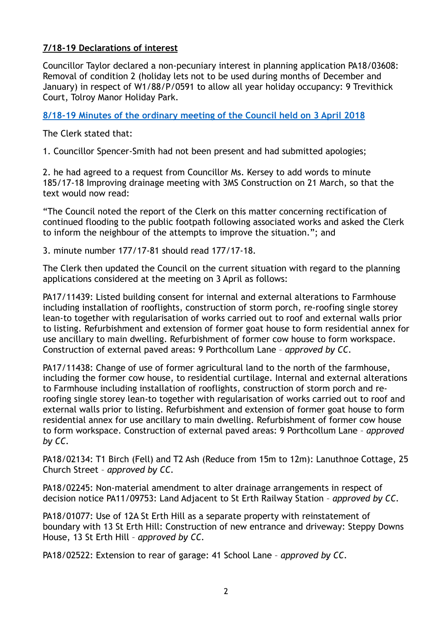### **7/18-19 Declarations of interest**

Councillor Taylor declared a non-pecuniary interest in planning application PA18/03608: Removal of condition 2 (holiday lets not to be used during months of December and January) in respect of W1/88/P/0591 to allow all year holiday occupancy: 9 Trevithick Court, Tolroy Manor Holiday Park.

### **8/18-19 Minutes of the ordinary meeting of the Council held on 3 April 2018**

The Clerk stated that:

1. Councillor Spencer-Smith had not been present and had submitted apologies;

2. he had agreed to a request from Councillor Ms. Kersey to add words to minute 185/17-18 Improving drainage meeting with 3MS Construction on 21 March, so that the text would now read:

"The Council noted the report of the Clerk on this matter concerning rectification of continued flooding to the public footpath following associated works and asked the Clerk to inform the neighbour of the attempts to improve the situation."; and

3. minute number 177/17-81 should read 177/17-18.

The Clerk then updated the Council on the current situation with regard to the planning applications considered at the meeting on 3 April as follows:

PA17/11439: [Listed building consent for internal and external alterations to Farmhouse](http://planning.cornwall.gov.uk/online-applications/applicationDetails.do?activeTab=summary&keyVal=P0A2KIFGIBT00&prevPage=inTray)  [including installation of rooflights, construction of storm porch, re-roofing single storey](http://planning.cornwall.gov.uk/online-applications/applicationDetails.do?activeTab=summary&keyVal=P0A2KIFGIBT00&prevPage=inTray)  [lean-to together with regularisation of works carried out to roof and external walls prior](http://planning.cornwall.gov.uk/online-applications/applicationDetails.do?activeTab=summary&keyVal=P0A2KIFGIBT00&prevPage=inTray)  [to listing. Refurbishment and extension of former goat house to form residential annex for](http://planning.cornwall.gov.uk/online-applications/applicationDetails.do?activeTab=summary&keyVal=P0A2KIFGIBT00&prevPage=inTray)  [use ancillary to main dwelling. Refurbishment of former cow house to form workspace.](http://planning.cornwall.gov.uk/online-applications/applicationDetails.do?activeTab=summary&keyVal=P0A2KIFGIBT00&prevPage=inTray)  [Construction of external paved areas:](http://planning.cornwall.gov.uk/online-applications/applicationDetails.do?activeTab=summary&keyVal=P0A2KIFGIBT00&prevPage=inTray) 9 Porthcollum Lane – *approved by CC.*

PA17/11438: [Change of use of former agricultural land to the north of the farmhouse,](http://planning.cornwall.gov.uk/online-applications/applicationDetails.do?activeTab=summary&keyVal=P0A2KEFGIBS00&prevPage=inTray)  [including the former cow house, to residential curtilage. Internal and external alterations](http://planning.cornwall.gov.uk/online-applications/applicationDetails.do?activeTab=summary&keyVal=P0A2KEFGIBS00&prevPage=inTray)  [to Farmhouse including installation of rooflights, construction of storm porch and re](http://planning.cornwall.gov.uk/online-applications/applicationDetails.do?activeTab=summary&keyVal=P0A2KEFGIBS00&prevPage=inTray)[roofing single storey lean-to together with regularisation of works carried out to roof and](http://planning.cornwall.gov.uk/online-applications/applicationDetails.do?activeTab=summary&keyVal=P0A2KEFGIBS00&prevPage=inTray)  [external walls prior to listing. Refurbishment and extension of former goat house to form](http://planning.cornwall.gov.uk/online-applications/applicationDetails.do?activeTab=summary&keyVal=P0A2KEFGIBS00&prevPage=inTray)  [residential annex for use ancillary to main dwelling. Refurbishment of former cow house](http://planning.cornwall.gov.uk/online-applications/applicationDetails.do?activeTab=summary&keyVal=P0A2KEFGIBS00&prevPage=inTray)  [to form workspace. Construction of external paved areas:](http://planning.cornwall.gov.uk/online-applications/applicationDetails.do?activeTab=summary&keyVal=P0A2KEFGIBS00&prevPage=inTray) 9 Porthcollum Lane – *approved by CC.*

PA18/02134: [T1 Birch \(Fell\) and T2 Ash \(Reduce from 15m to 12m](http://planning.cornwall.gov.uk/online-applications/applicationDetails.do?activeTab=summary&keyVal=P53WW3FGKOG00&prevPage=inTray)): Lanuthnoe Cottage, 25 Church Street – *approved by CC.* 

[PA18/02245: Non-material amendment to alter drainage arrangements in respect of](http://planning.cornwall.gov.uk/online-applications/applicationDetails.do?activeTab=summary&keyVal=P581AKFG1OB00&prevPage=inTray)  [decision notice PA11/09753](http://planning.cornwall.gov.uk/online-applications/applicationDetails.do?activeTab=summary&keyVal=P581AKFG1OB00&prevPage=inTray): Land Adjacent to St Erth Railway Station – *approved by CC.* 

[PA18/01077: Use of 12A St Erth Hill as a separate property with reinstatement of](http://planning.cornwall.gov.uk/online-applications/applicationDetails.do?activeTab=summary&keyVal=P3FI0SFGKXX00&prevPage=inTray)  [boundary with 13 St Erth Hill: Construction of new entrance and driveway:](http://planning.cornwall.gov.uk/online-applications/applicationDetails.do?activeTab=summary&keyVal=P3FI0SFGKXX00&prevPage=inTray) Steppy Downs House, 13 St Erth Hill – *approved by CC.*

PA18/02522: [Extension to rear of garage:](http://planning.cornwall.gov.uk/online-applications/applicationDetails.do?activeTab=summary&keyVal=P5L20MFG1R900&prevPage=inTray) 41 School Lane – *approved by CC.*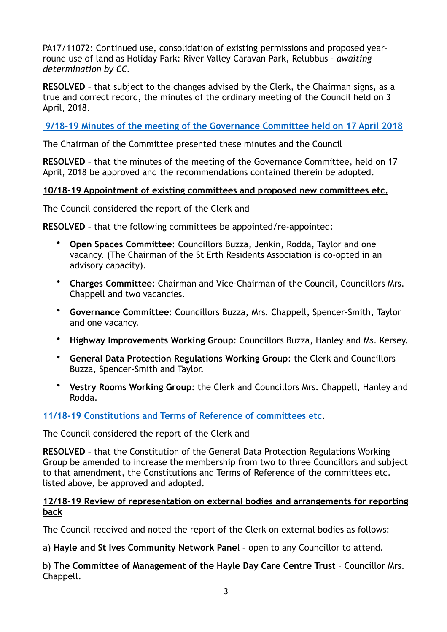PA17/11072: Continued use, consolidation of existing permissions and proposed yearround use of land as Holiday Park: River Valley Caravan Park, Relubbus - *awaiting determination by CC.*

**RESOLVED** – that subject to the changes advised by the Clerk, the Chairman signs, as a true and correct record, the minutes of the ordinary meeting of the Council held on 3 April, 2018.

**[9/18-19 Minutes of the meeting of the Governance Committee held on 17 April 2018](https://sterth-pc.gov.uk/type/council-sub-committees/)** 

The Chairman of the Committee presented these minutes and the Council

**RESOLVED** – that the minutes of the meeting of the Governance Committee, held on 17 April, 2018 be approved and the recommendations contained therein be adopted.

## **10/18-19 Appointment of existing committees and proposed new committees etc.**

The Council considered the report of the Clerk and

**RESOLVED** – that the following committees be appointed/re-appointed:

- **Open Spaces Committee**: Councillors Buzza, Jenkin, Rodda, Taylor and one vacancy. (The Chairman of the St Erth Residents Association is co-opted in an advisory capacity).
- **Charges Committee**: Chairman and Vice-Chairman of the Council, Councillors Mrs. Chappell and two vacancies.
- **Governance Committee**: Councillors Buzza, Mrs. Chappell, Spencer-Smith, Taylor and one vacancy.
- **Highway Improvements Working Group**: Councillors Buzza, Hanley and Ms. Kersey.
- **General Data Protection Regulations Working Group**: the Clerk and Councillors Buzza, Spencer-Smith and Taylor.
- **Vestry Rooms Working Group**: the Clerk and Councillors Mrs. Chappell, Hanley and Rodda.

## **[11/18-19 Constitutions and Terms of Reference of committees etc](https://sterth-pc.gov.uk/wp-content/uploads/2018/05/TOR.pdf).**

The Council considered the report of the Clerk and

**RESOLVED** – that the Constitution of the General Data Protection Regulations Working Group be amended to increase the membership from two to three Councillors and subject to that amendment, the Constitutions and Terms of Reference of the committees etc. listed above, be approved and adopted.

## **12/18-19 Review of representation on external bodies and arrangements for reporting back**

The Council received and noted the report of the Clerk on external bodies as follows:

a) **Hayle and St Ives Community Network Panel** – open to any Councillor to attend.

b) **The Committee of Management of the Hayle Day Care Centre Trust** – Councillor Mrs. Chappell.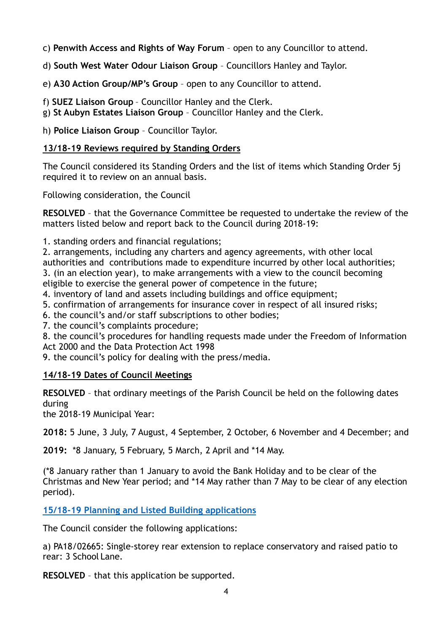c) **Penwith Access and Rights of Way Forum** – open to any Councillor to attend.

d) **South West Water Odour Liaison Group** – Councillors Hanley and Taylor.

e) **A30 Action Group/MP's Group** – open to any Councillor to attend.

f) **SUEZ Liaison Group** – Councillor Hanley and the Clerk.

g) **St Aubyn Estates Liaison Group** – Councillor Hanley and the Clerk.

h) **Police Liaison Group** – Councillor Taylor.

## **13/18-19 Reviews required by Standing Orders**

The Council considered its Standing Orders and the list of items which Standing Order 5j required it to review on an annual basis.

Following consideration, the Council

**RESOLVED** – that the Governance Committee be requested to undertake the review of the matters listed below and report back to the Council during 2018-19:

1. standing orders and financial regulations;

2. arrangements, including any charters and agency agreements, with other local authorities and contributions made to expenditure incurred by other local authorities; 3. (in an election year), to make arrangements with a view to the council becoming eligible to exercise the general power of competence in the future;

4. inventory of land and assets including buildings and office equipment;

5. confirmation of arrangements for insurance cover in respect of all insured risks;

6. the council's and/or staff subscriptions to other bodies;

7. the council's complaints procedure;

8. the council's procedures for handling requests made under the Freedom of Information Act 2000 and the Data Protection Act 1998

9. the council's policy for dealing with the press/media.

## **14/18-19 Dates of Council Meetings**

**RESOLVED** – that ordinary meetings of the Parish Council be held on the following dates during

the 2018-19 Municipal Year:

**2018:** 5 June, 3 July, 7 August, 4 September, 2 October, 6 November and 4 December; and

**2019:** \*8 January, 5 February, 5 March, 2 April and \*14 May.

(\*8 January rather than 1 January to avoid the Bank Holiday and to be clear of the Christmas and New Year period; and \*14 May rather than 7 May to be clear of any election period).

**[15/18-19 Planning and Listed Building applications](https://sterth-pc.gov.uk/planning-applications-table/)**

The Council consider the following applications:

a) PA18/02665: Single-storey rear extension to replace conservatory and raised patio to rear: 3 School Lane.

**RESOLVED** – that this application be supported.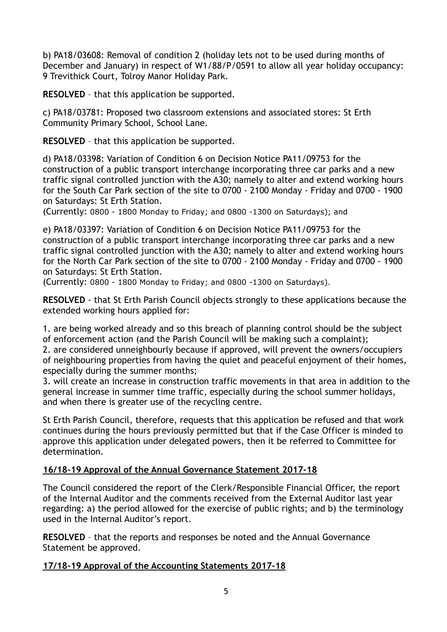b) PA18/03608: Removal of condition 2 (holiday lets not to be used during months of December and January) in respect of W1/88/P/0591 to allow all year holiday occupancy: 9 Trevithick Court, Tolroy Manor Holiday Park.

**RESOLVED** – that this application be supported.

c) PA18/03781: Proposed two classroom extensions and associated stores: St Erth Community Primary School, School Lane.

**RESOLVED** – that this application be supported.

d) PA18/03398: Variation of Condition 6 on Decision Notice PA11/09753 for the construction of a public transport interchange incorporating three car parks and a new traffic signal controlled junction with the A30; namely to alter and extend working hours for the South Car Park section of the site to 0700 - 2100 Monday - Friday and 0700 - 1900 on Saturdays: St Erth Station.

(Currently: 0800 - 1800 Monday to Friday; and 0800 -1300 on Saturdays); and

e) PA18/03397: Variation of Condition 6 on Decision Notice PA11/09753 for the construction of a public transport interchange incorporating three car parks and a new traffic signal controlled junction with the A30; namely to alter and extend working hours for the North Car Park section of the site to 0700 - 2100 Monday - Friday and 0700 - 1900 on Saturdays: St Erth Station.

(Currently: 0800 - 1800 Monday to Friday; and 0800 -1300 on Saturdays).

**RESOLVED** - that St Erth Parish Council objects strongly to these applications because the extended working hours applied for:

1. are being worked already and so this breach of planning control should be the subject of enforcement action (and the Parish Council will be making such a complaint);

2. are considered unneighbourly because if approved, will prevent the owners/occupiers of neighbouring properties from having the quiet and peaceful enjoyment of their homes, especially during the summer months;

3. will create an increase in construction traffic movements in that area in addition to the general increase in summer time traffic, especially during the school summer holidays, and when there is greater use of the recycling centre.

St Erth Parish Council, therefore, requests that this application be refused and that work continues during the hours previously permitted but that if the Case Officer is minded to approve this application under delegated powers, then it be referred to Committee for determination.

## **16/18-19 Approval of the Annual Governance Statement 2017-18**

The Council considered the report of the Clerk/Responsible Financial Officer, the report of the Internal Auditor and the comments received from the External Auditor last year regarding: a) the period allowed for the exercise of public rights; and b) the terminology used in the Internal Auditor's report.

**RESOLVED** – that the reports and responses be noted and the Annual Governance Statement be approved.

## **17/18-19 Approval of the Accounting Statements 2017-18**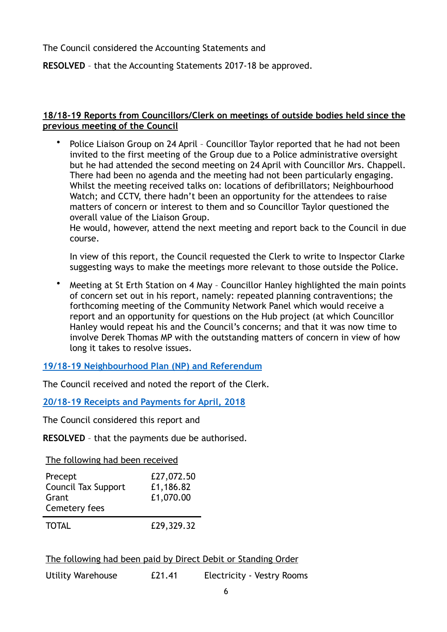The Council considered the Accounting Statements and

**RESOLVED** – that the Accounting Statements 2017-18 be approved.

### **18/18-19 Reports from Councillors/Clerk on meetings of outside bodies held since the previous meeting of the Council**

• Police Liaison Group on 24 April – Councillor Taylor reported that he had not been invited to the first meeting of the Group due to a Police administrative oversight but he had attended the second meeting on 24 April with Councillor Mrs. Chappell. There had been no agenda and the meeting had not been particularly engaging. Whilst the meeting received talks on: locations of defibrillators; Neighbourhood Watch; and CCTV, there hadn't been an opportunity for the attendees to raise matters of concern or interest to them and so Councillor Taylor questioned the overall value of the Liaison Group.

He would, however, attend the next meeting and report back to the Council in due course.

In view of this report, the Council requested the Clerk to write to Inspector Clarke suggesting ways to make the meetings more relevant to those outside the Police.

• Meeting at St Erth Station on 4 May – Councillor Hanley highlighted the main points of concern set out in his report, namely: repeated planning contraventions; the forthcoming meeting of the Community Network Panel which would receive a report and an opportunity for questions on the Hub project (at which Councillor Hanley would repeat his and the Council's concerns; and that it was now time to involve Derek Thomas MP with the outstanding matters of concern in view of how long it takes to resolve issues.

**[19/18-19 Neighbourhood Plan \(NP\) and Referendum](https://sterth-pc.gov.uk/wp-content/uploads/2018/05/NP-FINAL-REPORT-15-MAY.pdf)**

The Council received and noted the report of the Clerk.

**[20/18-19 Receipts and Payments for April, 2018](https://sterth-pc.gov.uk/type/financial-matters/)**

The Council considered this report and

**RESOLVED** – that the payments due be authorised.

The following had been received

| Precept<br><b>Council Tax Support</b><br>Grant<br>Cemetery fees | £27,072.50<br>£1,186.82<br>£1,070.00 |
|-----------------------------------------------------------------|--------------------------------------|
| <b>TOTAL</b>                                                    | £29,329.32                           |

The following had been paid by Direct Debit or Standing Order

Utility Warehouse £21.41 Electricity - Vestry Rooms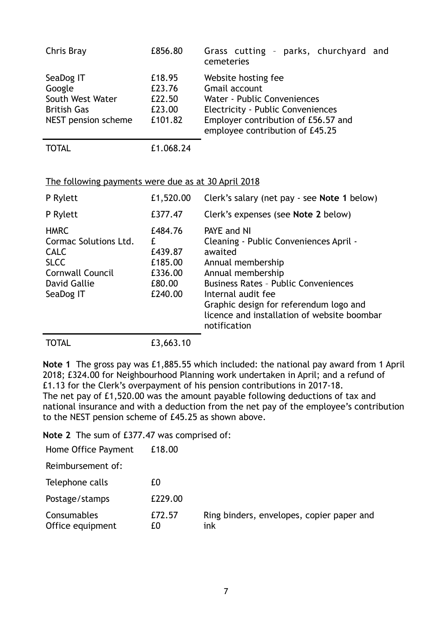| Chris Bray                                                                           | £856.80                                         | Grass cutting - parks, churchyard and<br>cemeteries                                                                                                                                |
|--------------------------------------------------------------------------------------|-------------------------------------------------|------------------------------------------------------------------------------------------------------------------------------------------------------------------------------------|
| SeaDog IT<br>Google<br>South West Water<br><b>British Gas</b><br>NEST pension scheme | £18.95<br>£23.76<br>£22.50<br>£23.00<br>£101.82 | Website hosting fee<br>Gmail account<br>Water - Public Conveniences<br>Electricity - Public Conveniences<br>Employer contribution of £56.57 and<br>employee contribution of £45.25 |
| <b>TOTAL</b>                                                                         | £1.068.24                                       |                                                                                                                                                                                    |

#### The following payments were due as at 30 April 2018

| P Rylett                                                                                                                   | £1,520.00                                                           | Clerk's salary (net pay - see Note 1 below)                                                                                                                                                                                                                                              |
|----------------------------------------------------------------------------------------------------------------------------|---------------------------------------------------------------------|------------------------------------------------------------------------------------------------------------------------------------------------------------------------------------------------------------------------------------------------------------------------------------------|
| P Rylett                                                                                                                   | £377.47                                                             | Clerk's expenses (see Note 2 below)                                                                                                                                                                                                                                                      |
| <b>HMRC</b><br>Cormac Solutions Ltd.<br><b>CALC</b><br><b>SLCC</b><br><b>Cornwall Council</b><br>David Gallie<br>SeaDog IT | £484.76<br>f.<br>£439.87<br>£185.00<br>£336.00<br>£80.00<br>£240.00 | PAYE and NI<br>Cleaning - Public Conveniences April -<br>awaited<br>Annual membership<br>Annual membership<br><b>Business Rates - Public Conveniences</b><br>Internal audit fee<br>Graphic design for referendum logo and<br>licence and installation of website boombar<br>notification |
| TOTAL                                                                                                                      | £3,663.10                                                           |                                                                                                                                                                                                                                                                                          |

**Note 1** The gross pay was £1,885.55 which included: the national pay award from 1 April 2018; £324.00 for Neighbourhood Planning work undertaken in April; and a refund of £1.13 for the Clerk's overpayment of his pension contributions in 2017-18. The net pay of £1,520.00 was the amount payable following deductions of tax and national insurance and with a deduction from the net pay of the employee's contribution to the NEST pension scheme of £45.25 as shown above.

**Note 2** The sum of £377.47 was comprised of:

| Home Office Payment             | £18.00       |                                                  |
|---------------------------------|--------------|--------------------------------------------------|
| Reimbursement of:               |              |                                                  |
| Telephone calls                 | £0           |                                                  |
| Postage/stamps                  | £229.00      |                                                  |
| Consumables<br>Office equipment | £72.57<br>£Ω | Ring binders, envelopes, copier paper and<br>ink |